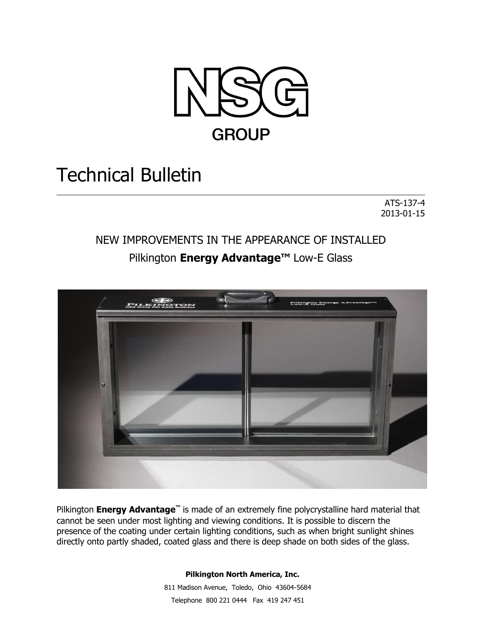

# Technical Bulletin

ATS-137-4 2013-01-15

## NEW IMPROVEMENTS IN THE APPEARANCE OF INSTALLED Pilkington **Energy Advantage™** Low-E Glass



Pilkington **Energy Advantage™** is made of an extremely fine polycrystalline hard material that cannot be seen under most lighting and viewing conditions. It is possible to discern the presence of the coating under certain lighting conditions, such as when bright sunlight shines directly onto partly shaded, coated glass and there is deep shade on both sides of the glass.

#### **Pilkington North America, Inc.**

 811 Madison Avenue, Toledo, Ohio 43604-5684 Telephone 800 221 0444Fax 419 247 451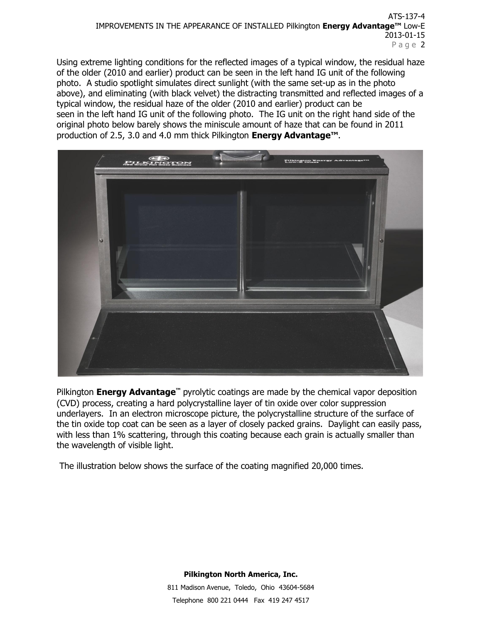#### ATS-137-4 IMPROVEMENTS IN THE APPEARANCE OF INSTALLED Pilkington **Energy Advantage™** Low-E 2013-01-15 Page 2

Using extreme lighting conditions for the reflected images of a typical window, the residual haze of the older (2010 and earlier) product can be seen in the left hand IG unit of the following photo. A studio spotlight simulates direct sunlight (with the same set-up as in the photo above), and eliminating (with black velvet) the distracting transmitted and reflected images of a typical window, the residual haze of the older (2010 and earlier) product can be seen in the left hand IG unit of the following photo. The IG unit on the right hand side of the original photo below barely shows the miniscule amount of haze that can be found in 2011 production of 2.5, 3.0 and 4.0 mm thick Pilkington **Energy Advantage™**.



Pilkington **Energy Advantage™** pyrolytic coatings are made by the chemical vapor deposition (CVD) process, creating a hard polycrystalline layer of tin oxide over color suppression underlayers. In an electron microscope picture, the polycrystalline structure of the surface of the tin oxide top coat can be seen as a layer of closely packed grains. Daylight can easily pass, with less than 1% scattering, through this coating because each grain is actually smaller than the wavelength of visible light.

The illustration below shows the surface of the coating magnified 20,000 times.

**Pilkington North America, Inc.** 811 Madison Avenue, Toledo, Ohio 43604-5684 Telephone 800 221 0444Fax 419 247 4517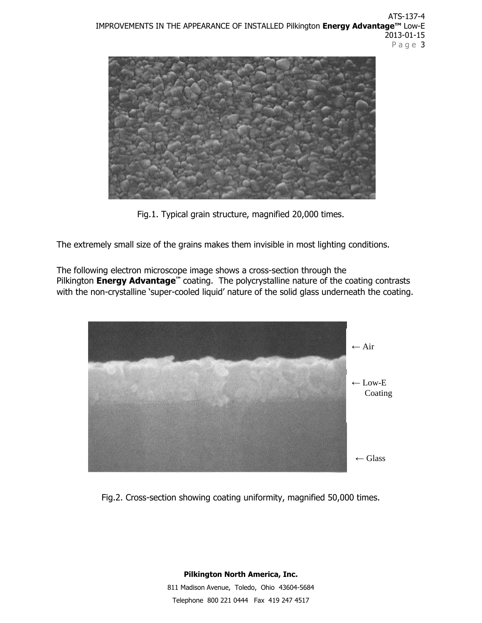

Fig.1. Typical grain structure, magnified 20,000 times.

The extremely small size of the grains makes them invisible in most lighting conditions.

The following electron microscope image shows a cross-section through the Pilkington **Energy Advantage<sup>™</sup>** coating. The polycrystalline nature of the coating contrasts with the non-crystalline 'super-cooled liquid' nature of the solid glass underneath the coating.



Fig.2. Cross-section showing coating uniformity, magnified 50,000 times.

**Pilkington North America, Inc.** 811 Madison Avenue, Toledo, Ohio 43604-5684 Telephone 800 221 0444Fax 419 247 4517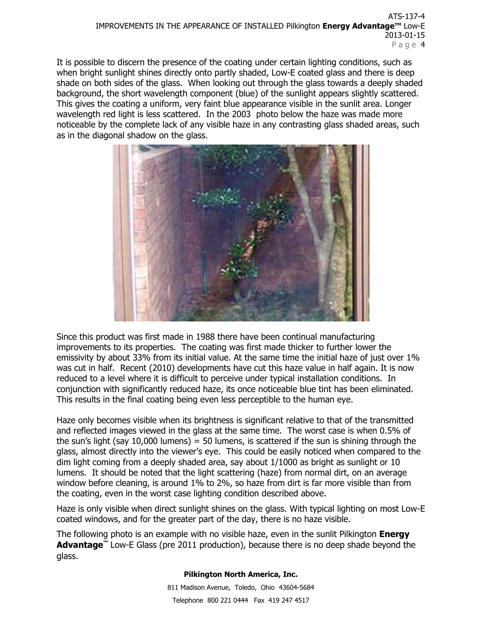It is possible to discern the presence of the coating under certain lighting conditions, such as when bright sunlight shines directly onto partly shaded, Low-E coated glass and there is deep shade on both sides of the glass. When looking out through the glass towards a deeply shaded background, the short wavelength component (blue) of the sunlight appears slightly scattered. This gives the coating a uniform, very faint blue appearance visible in the sunlit area. Longer wavelength red light is less scattered. In the 2003 photo below the haze was made more noticeable by the complete lack of any visible haze in any contrasting glass shaded areas, such as in the diagonal shadow on the glass.



Since this product was first made in 1988 there have been continual manufacturing improvements to its properties. The coating was first made thicker to further lower the emissivity by about 33% from its initial value. At the same time the initial haze of just over 1% was cut in half. Recent (2010) developments have cut this haze value in half again. It is now reduced to a level where it is difficult to perceive under typical installation conditions. In conjunction with significantly reduced haze, its once noticeable blue tint has been eliminated. This results in the final coating being even less perceptible to the human eye.

Haze only becomes visible when its brightness is significant relative to that of the transmitted and reflected images viewed in the glass at the same time. The worst case is when 0.5% of the sun's light (say 10,000 lumens) = 50 lumens, is scattered if the sun is shining through the glass, almost directly into the viewer's eye. This could be easily noticed when compared to the dim light coming from a deeply shaded area, say about 1/1000 as bright as sunlight or 10 lumens. It should be noted that the light scattering (haze) from normal dirt, on an average window before cleaning, is around 1% to 2%, so haze from dirt is far more visible than from the coating, even in the worst case lighting condition described above.

Haze is only visible when direct sunlight shines on the glass. With typical lighting on most Low-E coated windows, and for the greater part of the day, there is no haze visible.

The following photo is an example with no visible haze, even in the sunlit Pilkington **Energy Advantage™** Low-E Glass (pre 2011 production), because there is no deep shade beyond the glass.

#### **Pilkington North America, Inc.**

811 Madison Avenue, Toledo, Ohio 43604-5684 Telephone 800 221 0444Fax 419 247 4517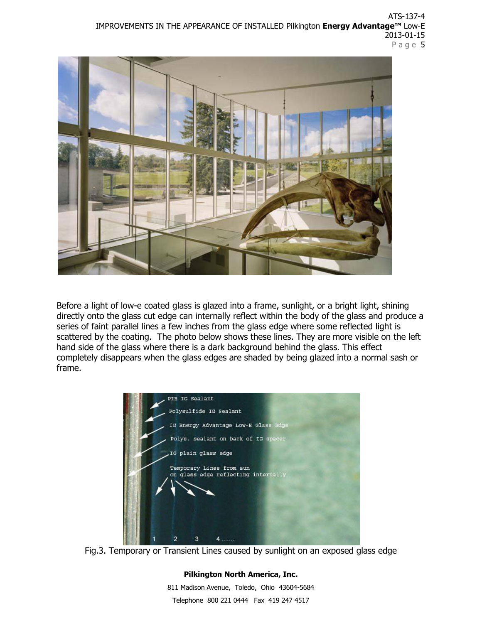ATS-137-4 IMPROVEMENTS IN THE APPEARANCE OF INSTALLED Pilkington **Energy Advantage™** Low-E 2013-01-15 Page 5



Before a light of low-e coated glass is glazed into a frame, sunlight, or a bright light, shining directly onto the glass cut edge can internally reflect within the body of the glass and produce a series of faint parallel lines a few inches from the glass edge where some reflected light is scattered by the coating. The photo below shows these lines. They are more visible on the left hand side of the glass where there is a dark background behind the glass. This effect completely disappears when the glass edges are shaded by being glazed into a normal sash or frame.



Fig.3. Temporary or Transient Lines caused by sunlight on an exposed glass edge

### **Pilkington North America, Inc.** 811 Madison Avenue, Toledo, Ohio 43604-5684 Telephone 800 221 0444Fax 419 247 4517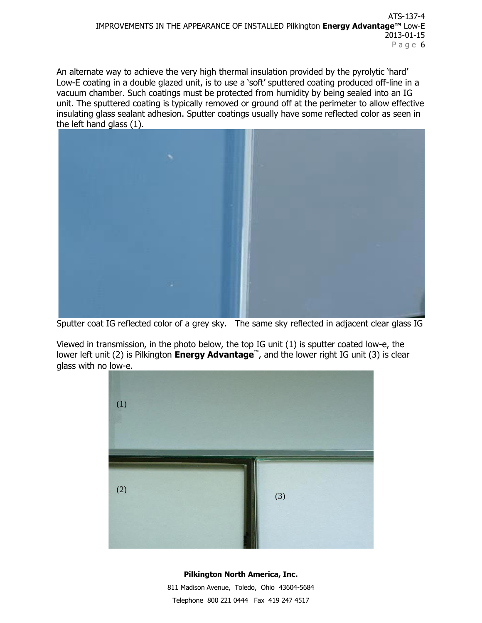An alternate way to achieve the very high thermal insulation provided by the pyrolytic 'hard' Low-E coating in a double glazed unit, is to use a 'soft' sputtered coating produced off-line in a vacuum chamber. Such coatings must be protected from humidity by being sealed into an IG unit. The sputtered coating is typically removed or ground off at the perimeter to allow effective insulating glass sealant adhesion. Sputter coatings usually have some reflected color as seen in the left hand glass (1).



Sputter coat IG reflected color of a grey sky. The same sky reflected in adjacent clear glass IG

Viewed in transmission, in the photo below, the top IG unit (1) is sputter coated low-e, the lower left unit (2) is Pilkington **Energy Advantage™**, and the lower right IG unit (3) is clear glass with no low-e.



#### **Pilkington North America, Inc.**

811 Madison Avenue, Toledo, Ohio 43604-5684 Telephone 800 221 0444Fax 419 247 4517